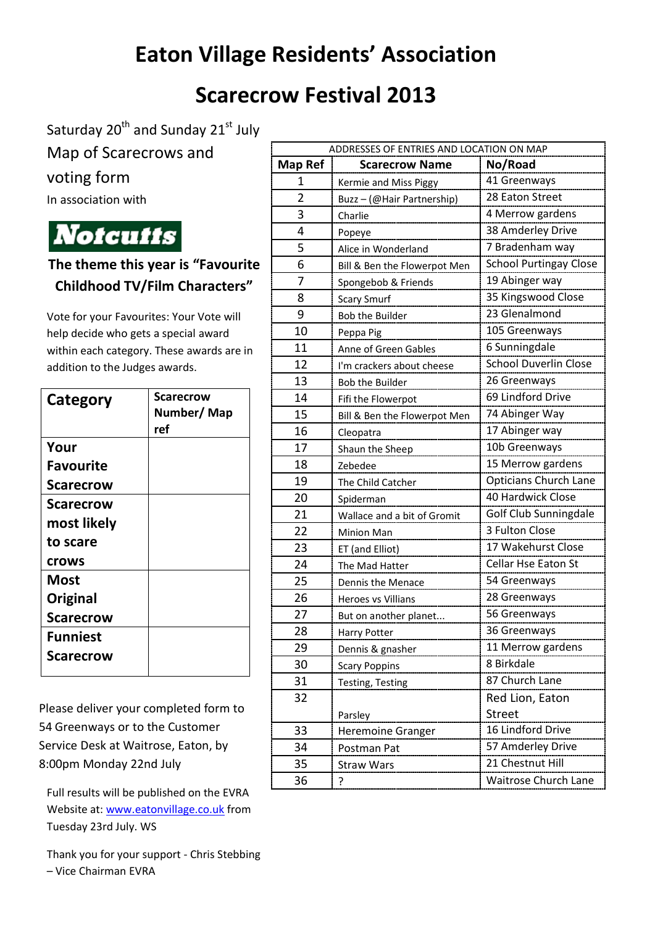## **Eaton Village Residents' Association**

## **Scarecrow Festival 2013**

Saturday 20<sup>th</sup> and Sunday 21<sup>st</sup> July

Map of Scarecrows and

## voting form

In association with

**Notcutts** 

## **The theme this year is "Favourite Childhood TV/Film Characters"**

Vote for your Favourites: Your Vote will help decide who gets a special award within each category. These awards are in addition to the Judges awards.

| Category         | <b>Scarecrow</b><br>Number/Map<br>ref |
|------------------|---------------------------------------|
| Your             |                                       |
| <b>Favourite</b> |                                       |
| <b>Scarecrow</b> |                                       |
| <b>Scarecrow</b> |                                       |
| most likely      |                                       |
| to scare         |                                       |
| crows            |                                       |
| <b>Most</b>      |                                       |
| Original         |                                       |
| <b>Scarecrow</b> |                                       |
| <b>Funniest</b>  |                                       |
| Scarecrow        |                                       |

Please deliver your completed form to 54 Greenways or to the Customer Service Desk at Waitrose, Eaton, by 8:00pm Monday 22nd July

Full results will be published on the EVRA Website at: [www.eatonvillage.co.uk](http://www.eatonvillage.co.uk/) from Tuesday 23rd July. WS

Thank you for your support - Chris Stebbing – Vice Chairman EVRA

| ADDRESSES OF ENTRIES AND LOCATION ON MAP |                              |                               |
|------------------------------------------|------------------------------|-------------------------------|
| <b>Map Ref</b>                           | <b>Scarecrow Name</b>        | No/Road                       |
| 1                                        | Kermie and Miss Piggy        | 41 Greenways                  |
| $\overline{2}$                           | Buzz - (@Hair Partnership)   | 28 Eaton Street               |
| 3                                        | Charlie                      | 4 Merrow gardens              |
| 4                                        | Popeye                       | 38 Amderley Drive             |
| 5                                        | Alice in Wonderland          | 7 Bradenham way               |
| 6                                        | Bill & Ben the Flowerpot Men | <b>School Purtingay Close</b> |
| 7                                        | Spongebob & Friends          | 19 Abinger way                |
| 8                                        | <b>Scary Smurf</b>           | 35 Kingswood Close            |
| 9                                        | Bob the Builder              | 23 Glenalmond                 |
| 10                                       | Peppa Pig                    | 105 Greenways                 |
| 11                                       | Anne of Green Gables         | 6 Sunningdale                 |
| 12                                       | I'm crackers about cheese    | <b>School Duverlin Close</b>  |
| 13                                       | Bob the Builder              | 26 Greenways                  |
| 14                                       | Fifi the Flowerpot           | 69 Lindford Drive             |
| 15                                       | Bill & Ben the Flowerpot Men | 74 Abinger Way                |
| 16                                       | Cleopatra                    | 17 Abinger way                |
| 17                                       | Shaun the Sheep              | 10b Greenways                 |
| 18                                       | Zebedee                      | 15 Merrow gardens             |
| 19                                       | The Child Catcher            | Opticians Church Lane         |
| 20                                       | Spiderman                    | 40 Hardwick Close             |
| 21                                       | Wallace and a bit of Gromit  | Golf Club Sunningdale         |
| 22                                       | <b>Minion Man</b>            | 3 Fulton Close                |
| 23                                       | ET (and Elliot)              | 17 Wakehurst Close            |
| 24                                       | The Mad Hatter               | Cellar Hse Eaton St           |
| 25                                       | Dennis the Menace            | 54 Greenways                  |
| 26                                       | Heroes vs Villians           | 28 Greenways                  |
| 27                                       | But on another planet        | 56 Greenways                  |
| 28                                       | Harry Potter                 | 36 Greenways                  |
| 29                                       | Dennis & gnasher             | 11 Merrow gardens             |
| 30                                       | <b>Scary Poppins</b>         | 8 Birkdale                    |
| 31                                       | Testing, Testing             | 87 Church Lane                |
| 32                                       |                              | Red Lion, Eaton               |
|                                          | Parsley                      | <b>Street</b>                 |
| 33                                       | <b>Heremoine Granger</b>     | 16 Lindford Drive             |
| 34                                       | Postman Pat                  | 57 Amderley Drive             |
| 35                                       | <b>Straw Wars</b>            | 21 Chestnut Hill              |
| 36                                       | ŗ                            | <b>Waitrose Church Lane</b>   |